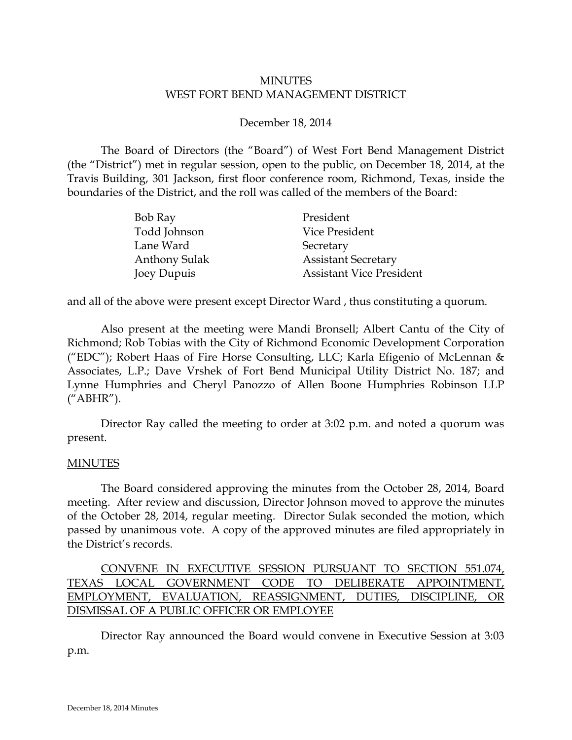## MINUTES WEST FORT BEND MANAGEMENT DISTRICT

## December 18, 2014

The Board of Directors (the "Board") of West Fort Bend Management District (the "District") met in regular session, open to the public, on December 18, 2014, at the Travis Building, 301 Jackson, first floor conference room, Richmond, Texas, inside the boundaries of the District, and the roll was called of the members of the Board:

| Bob Ray              | President                       |
|----------------------|---------------------------------|
| Todd Johnson         | Vice President                  |
| Lane Ward            | Secretary                       |
| <b>Anthony Sulak</b> | <b>Assistant Secretary</b>      |
| Joey Dupuis          | <b>Assistant Vice President</b> |

and all of the above were present except Director Ward , thus constituting a quorum.

Also present at the meeting were Mandi Bronsell; Albert Cantu of the City of Richmond; Rob Tobias with the City of Richmond Economic Development Corporation ("EDC"); Robert Haas of Fire Horse Consulting, LLC; Karla Efigenio of McLennan & Associates, L.P.; Dave Vrshek of Fort Bend Municipal Utility District No. 187; and Lynne Humphries and Cheryl Panozzo of Allen Boone Humphries Robinson LLP ("ABHR").

Director Ray called the meeting to order at 3:02 p.m. and noted a quorum was present.

### MINUTES

The Board considered approving the minutes from the October 28, 2014, Board meeting. After review and discussion, Director Johnson moved to approve the minutes of the October 28, 2014, regular meeting. Director Sulak seconded the motion, which passed by unanimous vote. A copy of the approved minutes are filed appropriately in the District's records.

# CONVENE IN EXECUTIVE SESSION PURSUANT TO SECTION 551.074, TEXAS LOCAL GOVERNMENT CODE TO DELIBERATE APPOINTMENT, EMPLOYMENT, EVALUATION, REASSIGNMENT, DUTIES, DISCIPLINE, OR DISMISSAL OF A PUBLIC OFFICER OR EMPLOYEE

Director Ray announced the Board would convene in Executive Session at 3:03 p.m.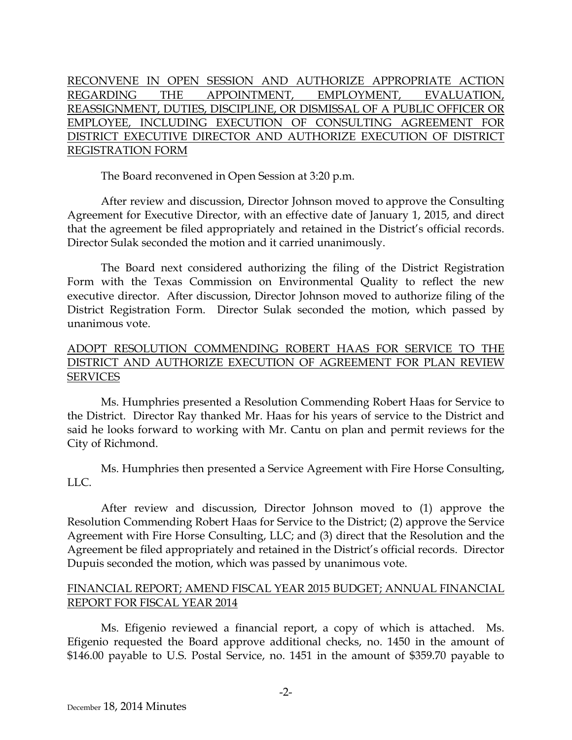RECONVENE IN OPEN SESSION AND AUTHORIZE APPROPRIATE ACTION REGARDING THE APPOINTMENT, EMPLOYMENT, EVALUATION, REASSIGNMENT, DUTIES, DISCIPLINE, OR DISMISSAL OF A PUBLIC OFFICER OR EMPLOYEE, INCLUDING EXECUTION OF CONSULTING AGREEMENT FOR DISTRICT EXECUTIVE DIRECTOR AND AUTHORIZE EXECUTION OF DISTRICT REGISTRATION FORM

The Board reconvened in Open Session at 3:20 p.m.

After review and discussion, Director Johnson moved to approve the Consulting Agreement for Executive Director, with an effective date of January 1, 2015, and direct that the agreement be filed appropriately and retained in the District's official records. Director Sulak seconded the motion and it carried unanimously.

The Board next considered authorizing the filing of the District Registration Form with the Texas Commission on Environmental Quality to reflect the new executive director. After discussion, Director Johnson moved to authorize filing of the District Registration Form. Director Sulak seconded the motion, which passed by unanimous vote.

# ADOPT RESOLUTION COMMENDING ROBERT HAAS FOR SERVICE TO THE DISTRICT AND AUTHORIZE EXECUTION OF AGREEMENT FOR PLAN REVIEW SERVICES

Ms. Humphries presented a Resolution Commending Robert Haas for Service to the District. Director Ray thanked Mr. Haas for his years of service to the District and said he looks forward to working with Mr. Cantu on plan and permit reviews for the City of Richmond.

Ms. Humphries then presented a Service Agreement with Fire Horse Consulting, LLC.

After review and discussion, Director Johnson moved to (1) approve the Resolution Commending Robert Haas for Service to the District; (2) approve the Service Agreement with Fire Horse Consulting, LLC; and (3) direct that the Resolution and the Agreement be filed appropriately and retained in the District's official records. Director Dupuis seconded the motion, which was passed by unanimous vote.

## FINANCIAL REPORT; AMEND FISCAL YEAR 2015 BUDGET; ANNUAL FINANCIAL REPORT FOR FISCAL YEAR 2014

<span id="page-1-0"></span>Ms. Efigenio reviewed a financial report, a copy of which is attached. Ms. Efigenio requested the Board approve additional checks, no. 1450 in the amount of \$146.00 payable to U.S. Postal Service, no. 1451 in the amount of \$359.70 payable to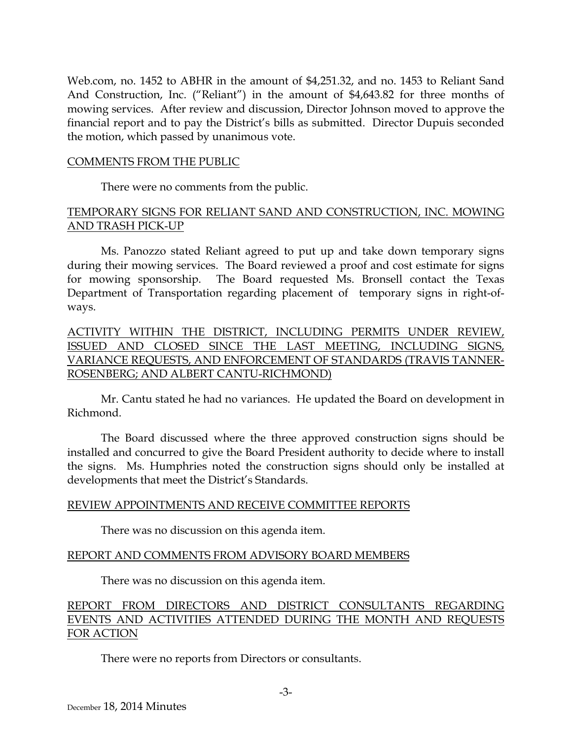Web.com, no. 1452 to ABHR in the amount of \$4,251.32, and no. 1453 to Reliant Sand And Construction, Inc. ("Reliant") in the amount of \$4,643.82 for three months of mowing services. After review and discussion, Director Johnson moved to approve the financial report and to pay the District's bills as submitted. Director Dupuis seconded the motion, which passed by unanimous vote.

### COMMENTS FROM THE PUBLIC

There were no comments from the public.

## TEMPORARY SIGNS FOR RELIANT SAND AND CONSTRUCTION, INC. MOWING AND TRASH PICK-UP

Ms. Panozzo stated Reliant agreed to put up and take down temporary signs during their mowing services. The Board reviewed a proof and cost estimate for signs for mowing sponsorship. The Board requested Ms. Bronsell contact the Texas Department of Transportation regarding placement of temporary signs in right-ofways.

ACTIVITY WITHIN THE DISTRICT, INCLUDING PERMITS UNDER REVIEW, ISSUED AND CLOSED SINCE THE LAST MEETING, INCLUDING SIGNS, VARIANCE REQUESTS, AND ENFORCEMENT OF STANDARDS (TRAVIS TANNER-ROSENBERG; AND ALBERT CANTU-RICHMOND)

Mr. Cantu stated he had no variances. He updated the Board on development in Richmond.

The Board discussed where the three approved construction signs should be installed and concurred to give the Board President authority to decide where to install the signs. Ms. Humphries noted the construction signs should only be installed at developments that meet the District's Standards.

#### REVIEW APPOINTMENTS AND RECEIVE COMMITTEE REPORTS

There was no discussion on this agenda item.

### REPORT AND COMMENTS FROM ADVISORY BOARD MEMBERS

There was no discussion on this agenda item.

## REPORT FROM DIRECTORS AND DISTRICT CONSULTANTS REGARDING EVENTS AND ACTIVITIES ATTENDED DURING THE MONTH AND REQUESTS FOR ACTION

There were no reports from Directors or consultants.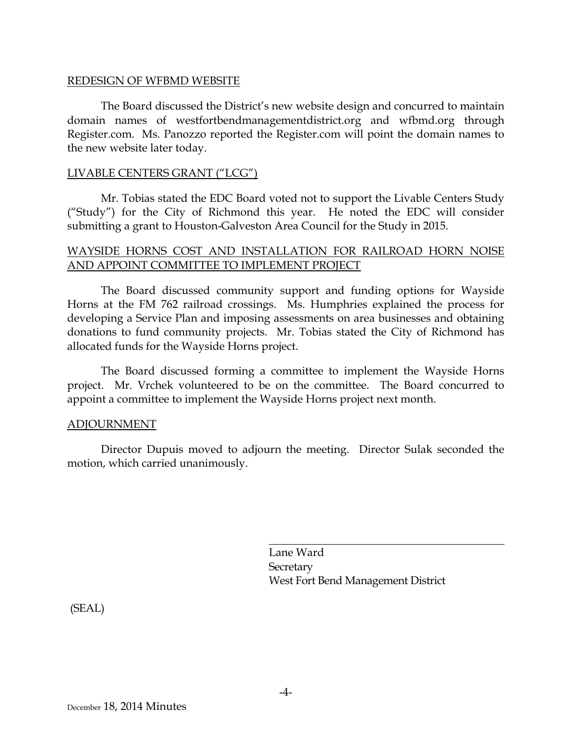### REDESIGN OF WFBMD WEBSITE

The Board discussed the District's new website design and concurred to maintain domain names of westfortbendmanagementdistrict.org and wfbmd.org through Register.com. Ms. Panozzo reported the Register.com will point the domain names to the new website later today.

### LIVABLE CENTERS GRANT ("LCG")

Mr. Tobias stated the EDC Board voted not to support the Livable Centers Study ("Study") for the City of Richmond this year. He noted the EDC will consider submitting a grant to Houston-Galveston Area Council for the Study in 2015.

### WAYSIDE HORNS COST AND INSTALLATION FOR RAILROAD HORN NOISE AND APPOINT COMMITTEE TO IMPLEMENT PROJECT

The Board discussed community support and funding options for Wayside Horns at the FM 762 railroad crossings. Ms. Humphries explained the process for developing a Service Plan and imposing assessments on area businesses and obtaining donations to fund community projects. Mr. Tobias stated the City of Richmond has allocated funds for the Wayside Horns project.

The Board discussed forming a committee to implement the Wayside Horns project. Mr. Vrchek volunteered to be on the committee. The Board concurred to appoint a committee to implement the Wayside Horns project next month.

#### ADJOURNMENT

Director Dupuis moved to adjourn the meeting. Director Sulak seconded the motion, which carried unanimously.

> Lane Ward Secretary West Fort Bend Management District

(SEAL)